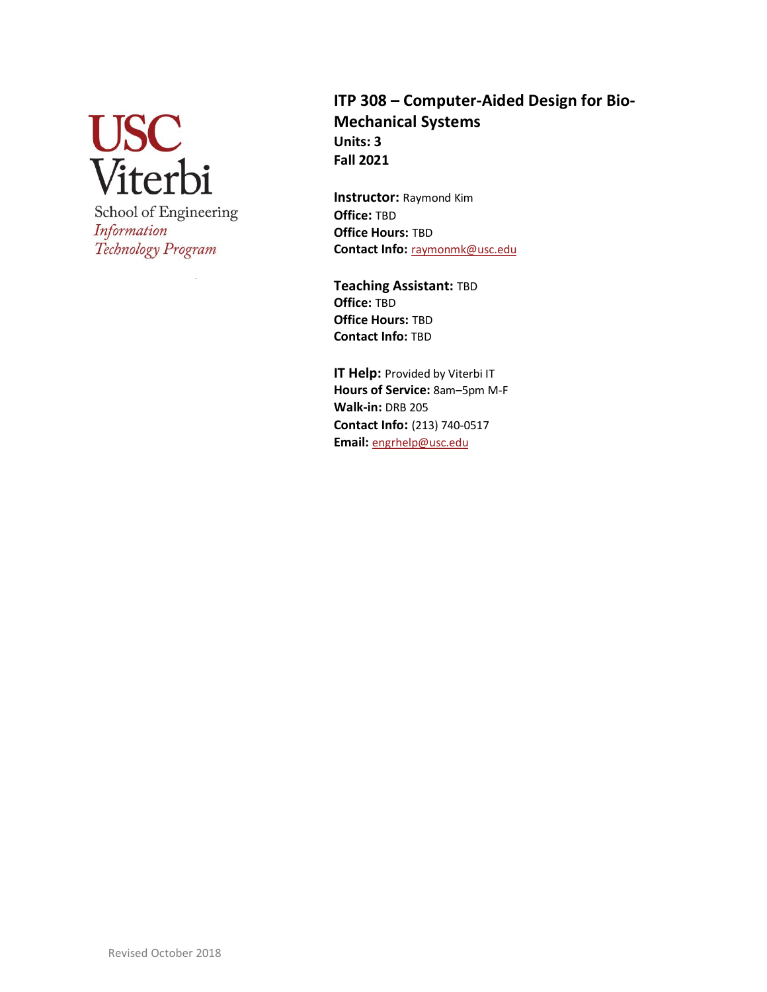**USC**<br>Viterbi School of Engineering Information Technology Program

# **ITP 308 – Computer-Aided Design for Bio-Mechanical Systems Units: 3 Fall 2021**

**Instructor:** Raymond Kim **Office:** TBD **Office Hours:** TBD **Contact Info:** [raymonmk@usc.edu](mailto:raymonmk@usc.edu)

**Teaching Assistant:** TBD **Office:** TBD **Office Hours:** TBD **Contact Info:** TBD

**IT Help: Provided by Viterbi IT Hours of Service:** 8am–5pm M-F **Walk-in:** DRB 205 **Contact Info:** (213) 740-0517 **Email:** [engrhelp@usc.edu](mailto:engrhelp@usc.edu)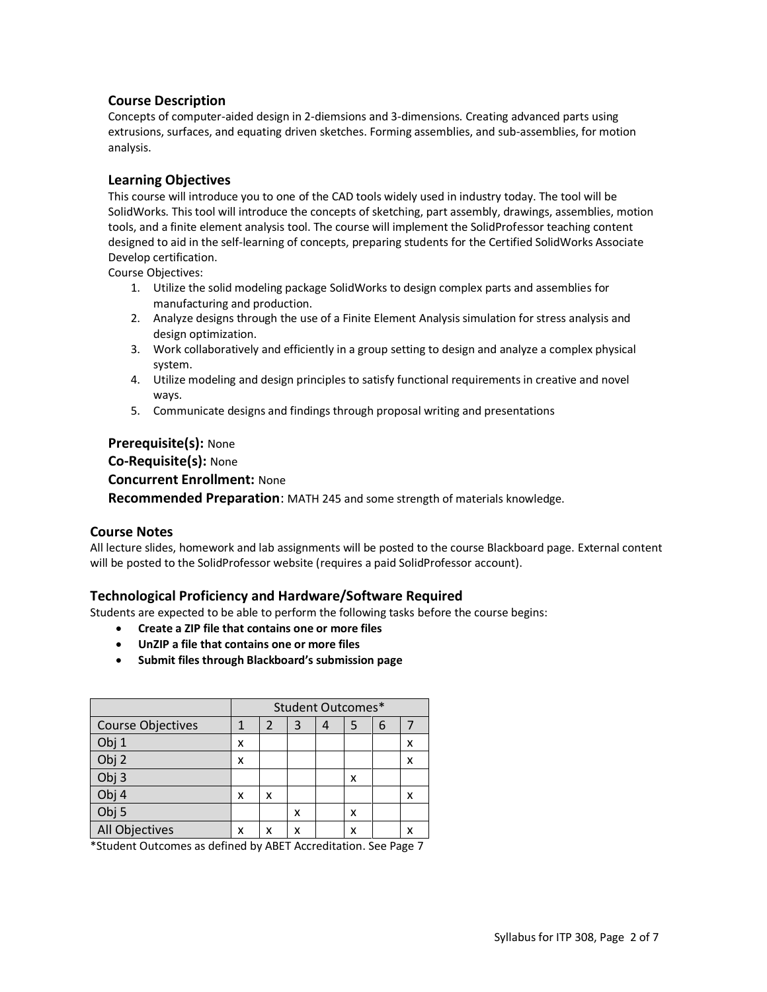## **Course Description**

Concepts of computer-aided design in 2-diemsions and 3-dimensions. Creating advanced parts using extrusions, surfaces, and equating driven sketches. Forming assemblies, and sub-assemblies, for motion analysis.

## **Learning Objectives**

This course will introduce you to one of the CAD tools widely used in industry today. The tool will be SolidWorks. This tool will introduce the concepts of sketching, part assembly, drawings, assemblies, motion tools, and a finite element analysis tool. The course will implement the SolidProfessor teaching content designed to aid in the self-learning of concepts, preparing students for the Certified SolidWorks Associate Develop certification.

Course Objectives:

- 1. Utilize the solid modeling package SolidWorks to design complex parts and assemblies for manufacturing and production.
- 2. Analyze designs through the use of a Finite Element Analysis simulation for stress analysis and design optimization.
- 3. Work collaboratively and efficiently in a group setting to design and analyze a complex physical system.
- 4. Utilize modeling and design principles to satisfy functional requirements in creative and novel ways.
- 5. Communicate designs and findings through proposal writing and presentations

#### **Prerequisite(s):** None

**Co-Requisite(s):** None **Concurrent Enrollment:** None **Recommended Preparation**: MATH 245 and some strength of materials knowledge.

#### **Course Notes**

All lecture slides, homework and lab assignments will be posted to the course Blackboard page. External content will be posted to the SolidProfessor website (requires a paid SolidProfessor account).

## **Technological Proficiency and Hardware/Software Required**

Students are expected to be able to perform the following tasks before the course begins:

- **Create a ZIP file that contains one or more files**
- **UnZIP a file that contains one or more files**
- **Submit files through Blackboard's submission page**

|                          | <b>Student Outcomes*</b> |   |   |   |   |   |   |
|--------------------------|--------------------------|---|---|---|---|---|---|
| <b>Course Objectives</b> |                          | 2 | 3 | 4 | 5 | 6 |   |
| Obj 1                    | x                        |   |   |   |   |   | x |
| Obj <sub>2</sub>         | x                        |   |   |   |   |   | x |
| Obj <sub>3</sub>         |                          |   |   |   | x |   |   |
| Obj 4                    | x                        | x |   |   |   |   |   |
| Obj <sub>5</sub>         |                          |   | x |   | x |   |   |
| All Objectives           | x                        | x | x |   | x |   |   |

\*Student Outcomes as defined by ABET Accreditation. See Page 7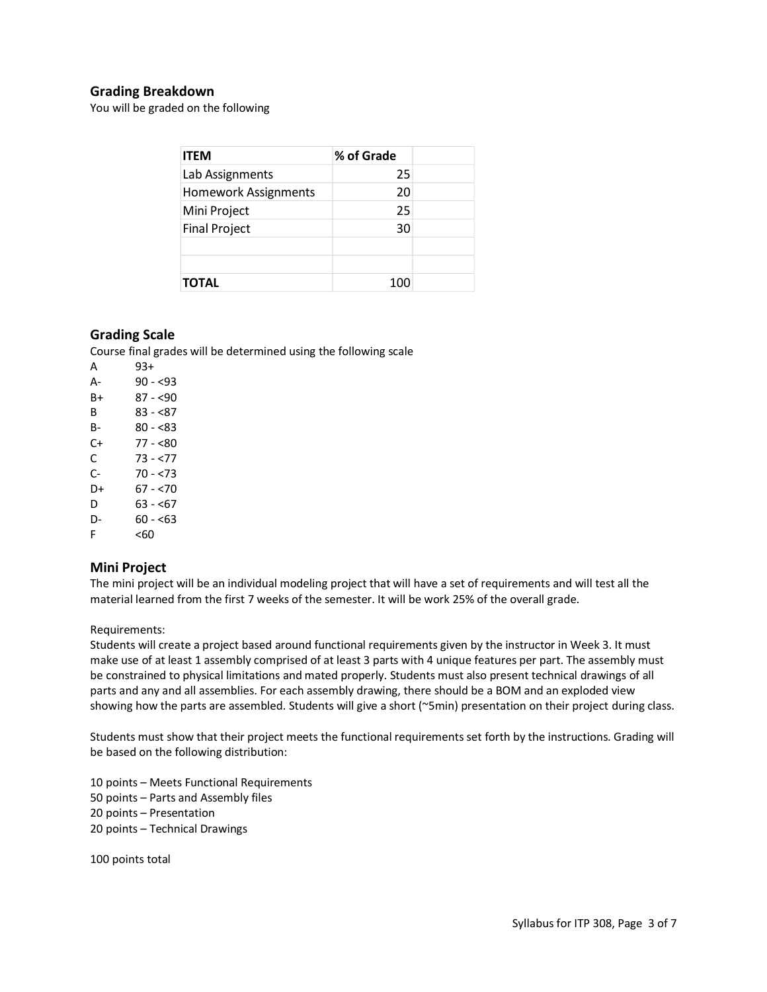# **Grading Breakdown**

You will be graded on the following

| <b>ITEM</b>                 | % of Grade |  |
|-----------------------------|------------|--|
| Lab Assignments             | 25         |  |
| <b>Homework Assignments</b> | 20         |  |
| Mini Project                | 25         |  |
| <b>Final Project</b>        | 30         |  |
|                             |            |  |
|                             |            |  |
| <b>TOTAL</b>                | 100        |  |

#### **Grading Scale**

Course final grades will be determined using the following scale

| 93+        |
|------------|
| $90 - 53$  |
| 87 - <90   |
| $83 - 87$  |
| $80 - 83$  |
| 77 - <80   |
| $73 - 577$ |
| 70 - <73   |
| 67 - <70   |
| $63 - 67$  |
| 60 - <63   |
| <60        |
|            |

## **Mini Project**

The mini project will be an individual modeling project that will have a set of requirements and will test all the material learned from the first 7 weeks of the semester. It will be work 25% of the overall grade.

#### Requirements:

Students will create a project based around functional requirements given by the instructor in Week 3. It must make use of at least 1 assembly comprised of at least 3 parts with 4 unique features per part. The assembly must be constrained to physical limitations and mated properly. Students must also present technical drawings of all parts and any and all assemblies. For each assembly drawing, there should be a BOM and an exploded view showing how the parts are assembled. Students will give a short (~5min) presentation on their project during class.

Students must show that their project meets the functional requirements set forth by the instructions. Grading will be based on the following distribution:

10 points – Meets Functional Requirements 50 points – Parts and Assembly files 20 points – Presentation 20 points – Technical Drawings

100 points total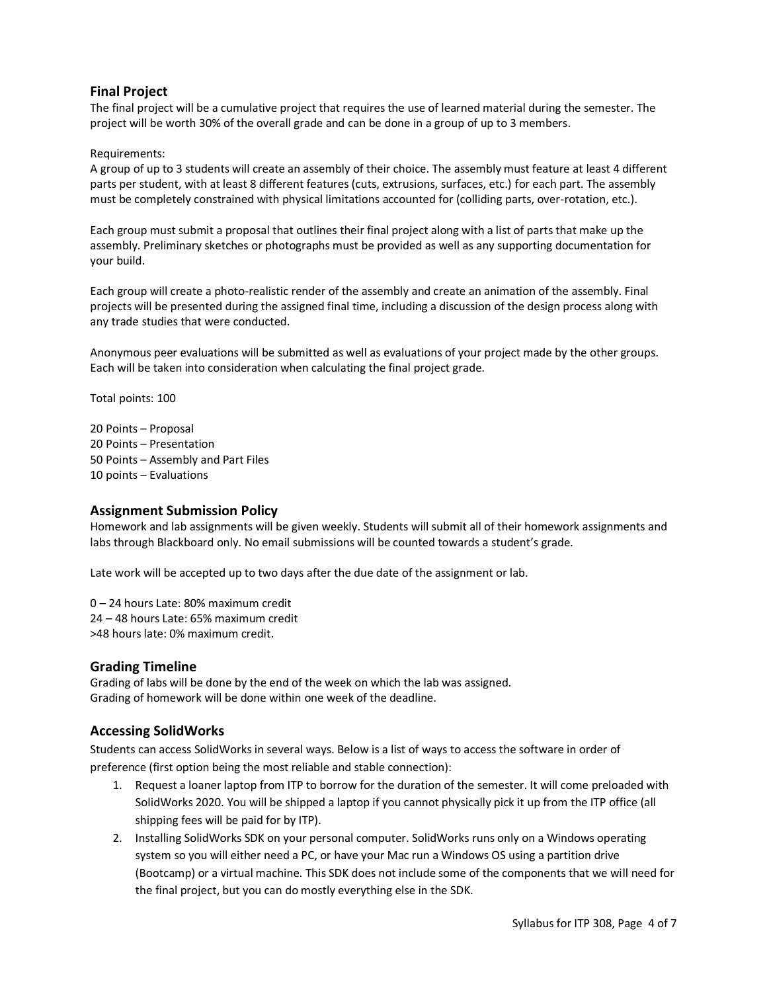# **Final Project**

The final project will be a cumulative project that requires the use of learned material during the semester. The project will be worth 30% of the overall grade and can be done in a group of up to 3 members.

#### Requirements:

A group of up to 3 students will create an assembly of their choice. The assembly must feature at least 4 different parts per student, with at least 8 different features (cuts, extrusions, surfaces, etc.) for each part. The assembly must be completely constrained with physical limitations accounted for (colliding parts, over-rotation, etc.).

Each group must submit a proposal that outlines their final project along with a list of parts that make up the assembly. Preliminary sketches or photographs must be provided as well as any supporting documentation for your build.

Each group will create a photo-realistic render of the assembly and create an animation of the assembly. Final projects will be presented during the assigned final time, including a discussion of the design process along with any trade studies that were conducted.

Anonymous peer evaluations will be submitted as well as evaluations of your project made by the other groups. Each will be taken into consideration when calculating the final project grade.

Total points: 100

20 Points – Proposal 20 Points – Presentation 50 Points – Assembly and Part Files 10 points – Evaluations

#### **Assignment Submission Policy**

Homework and lab assignments will be given weekly. Students will submit all of their homework assignments and labs through Blackboard only. No email submissions will be counted towards a student's grade.

Late work will be accepted up to two days after the due date of the assignment or lab.

0 – 24 hours Late: 80% maximum credit 24 – 48 hours Late: 65% maximum credit >48 hours late: 0% maximum credit.

#### **Grading Timeline**

Grading of labs will be done by the end of the week on which the lab was assigned. Grading of homework will be done within one week of the deadline.

## **Accessing SolidWorks**

Students can access SolidWorks in several ways. Below is a list of ways to access the software in order of preference (first option being the most reliable and stable connection):

- 1. Request a loaner laptop from ITP to borrow for the duration of the semester. It will come preloaded with SolidWorks 2020. You will be shipped a laptop if you cannot physically pick it up from the ITP office (all shipping fees will be paid for by ITP).
- 2. Installing SolidWorks SDK on your personal computer. SolidWorks runs only on a Windows operating system so you will either need a PC, or have your Mac run a Windows OS using a partition drive (Bootcamp) or a virtual machine. This SDK does not include some of the components that we will need for the final project, but you can do mostly everything else in the SDK.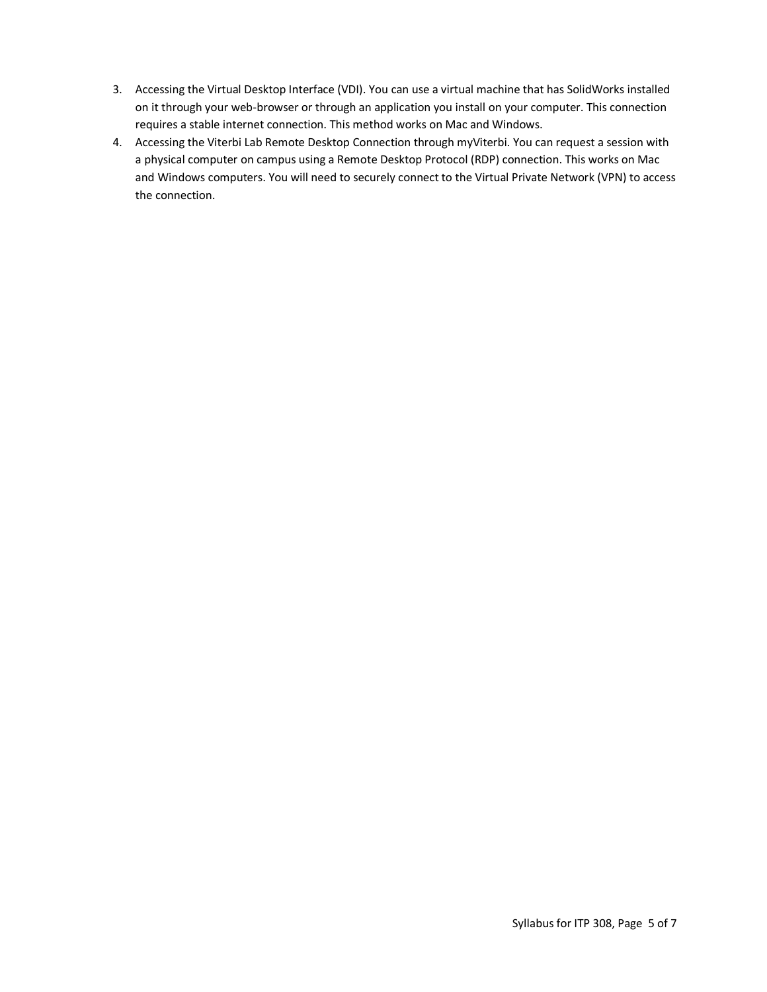- 3. Accessing the Virtual Desktop Interface (VDI). You can use a virtual machine that has SolidWorks installed on it through your web-browser or through an application you install on your computer. This connection requires a stable internet connection. This method works on Mac and Windows.
- 4. Accessing the Viterbi Lab Remote Desktop Connection through myViterbi. You can request a session with a physical computer on campus using a Remote Desktop Protocol (RDP) connection. This works on Mac and Windows computers. You will need to securely connect to the Virtual Private Network (VPN) to access the connection.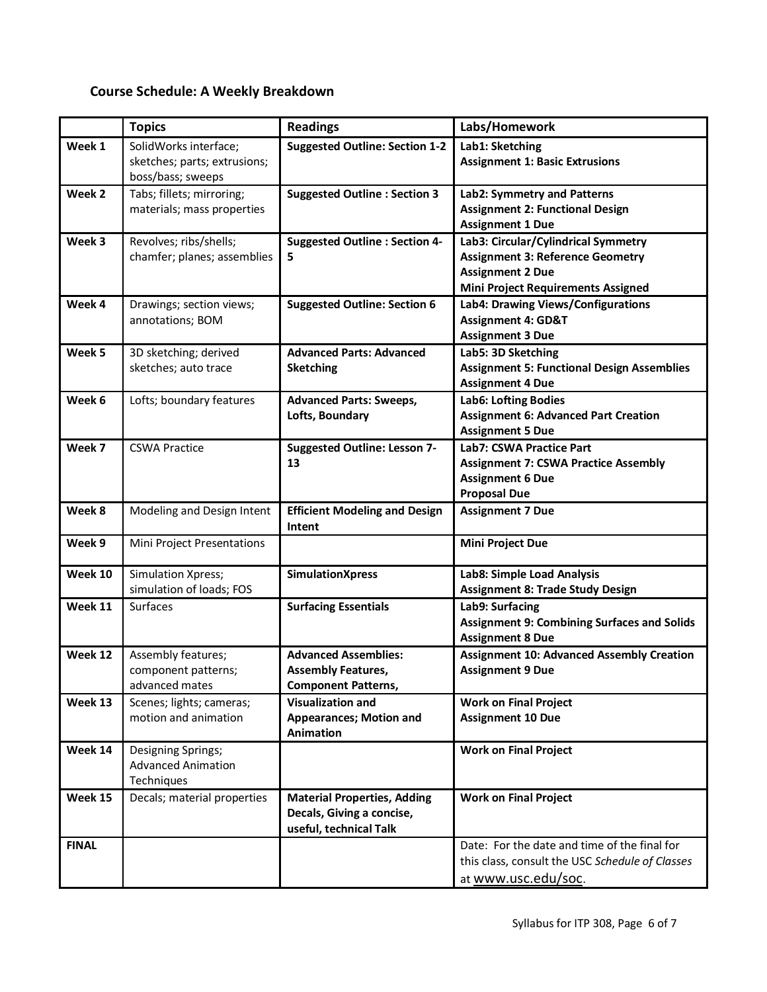# **Course Schedule: A Weekly Breakdown**

|              | <b>Topics</b>                                                              | <b>Readings</b>                                                                           | Labs/Homework                                                                                                                                          |
|--------------|----------------------------------------------------------------------------|-------------------------------------------------------------------------------------------|--------------------------------------------------------------------------------------------------------------------------------------------------------|
| Week 1       | SolidWorks interface;<br>sketches; parts; extrusions;<br>boss/bass; sweeps | <b>Suggested Outline: Section 1-2</b>                                                     | Lab1: Sketching<br><b>Assignment 1: Basic Extrusions</b>                                                                                               |
| Week 2       | Tabs; fillets; mirroring;<br>materials; mass properties                    | <b>Suggested Outline: Section 3</b>                                                       | Lab2: Symmetry and Patterns<br><b>Assignment 2: Functional Design</b><br><b>Assignment 1 Due</b>                                                       |
| Week 3       | Revolves; ribs/shells;<br>chamfer; planes; assemblies                      | <b>Suggested Outline : Section 4-</b><br>5                                                | Lab3: Circular/Cylindrical Symmetry<br><b>Assignment 3: Reference Geometry</b><br><b>Assignment 2 Due</b><br><b>Mini Project Requirements Assigned</b> |
| Week 4       | Drawings; section views;<br>annotations; BOM                               | <b>Suggested Outline: Section 6</b>                                                       | Lab4: Drawing Views/Configurations<br><b>Assignment 4: GD&amp;T</b><br><b>Assignment 3 Due</b>                                                         |
| Week 5       | 3D sketching; derived<br>sketches; auto trace                              | <b>Advanced Parts: Advanced</b><br><b>Sketching</b>                                       | Lab5: 3D Sketching<br><b>Assignment 5: Functional Design Assemblies</b><br><b>Assignment 4 Due</b>                                                     |
| Week 6       | Lofts; boundary features                                                   | <b>Advanced Parts: Sweeps,</b><br>Lofts, Boundary                                         | <b>Lab6: Lofting Bodies</b><br><b>Assignment 6: Advanced Part Creation</b><br><b>Assignment 5 Due</b>                                                  |
| Week 7       | <b>CSWA Practice</b>                                                       | <b>Suggested Outline: Lesson 7-</b><br>13                                                 | Lab7: CSWA Practice Part<br><b>Assignment 7: CSWA Practice Assembly</b><br><b>Assignment 6 Due</b><br><b>Proposal Due</b>                              |
| Week 8       | Modeling and Design Intent                                                 | <b>Efficient Modeling and Design</b><br>Intent                                            | <b>Assignment 7 Due</b>                                                                                                                                |
| Week 9       | Mini Project Presentations                                                 |                                                                                           | Mini Project Due                                                                                                                                       |
| Week 10      | Simulation Xpress;<br>simulation of loads; FOS                             | <b>SimulationXpress</b>                                                                   | Lab8: Simple Load Analysis<br><b>Assignment 8: Trade Study Design</b>                                                                                  |
| Week 11      | Surfaces                                                                   | <b>Surfacing Essentials</b>                                                               | Lab9: Surfacing<br><b>Assignment 9: Combining Surfaces and Solids</b><br><b>Assignment 8 Due</b>                                                       |
| Week 12      | Assembly features;<br>component patterns;<br>advanced mates                | <b>Advanced Assemblies:</b><br><b>Assembly Features,</b><br><b>Component Patterns,</b>    | <b>Assignment 10: Advanced Assembly Creation</b><br><b>Assignment 9 Due</b>                                                                            |
| Week 13      | Scenes; lights; cameras;<br>motion and animation                           | <b>Visualization and</b><br><b>Appearances; Motion and</b><br><b>Animation</b>            | <b>Work on Final Project</b><br><b>Assignment 10 Due</b>                                                                                               |
| Week 14      | Designing Springs;<br><b>Advanced Animation</b><br>Techniques              |                                                                                           | <b>Work on Final Project</b>                                                                                                                           |
| Week 15      | Decals; material properties                                                | <b>Material Properties, Adding</b><br>Decals, Giving a concise,<br>useful, technical Talk | <b>Work on Final Project</b>                                                                                                                           |
| <b>FINAL</b> |                                                                            |                                                                                           | Date: For the date and time of the final for<br>this class, consult the USC Schedule of Classes<br>at www.usc.edu/soc.                                 |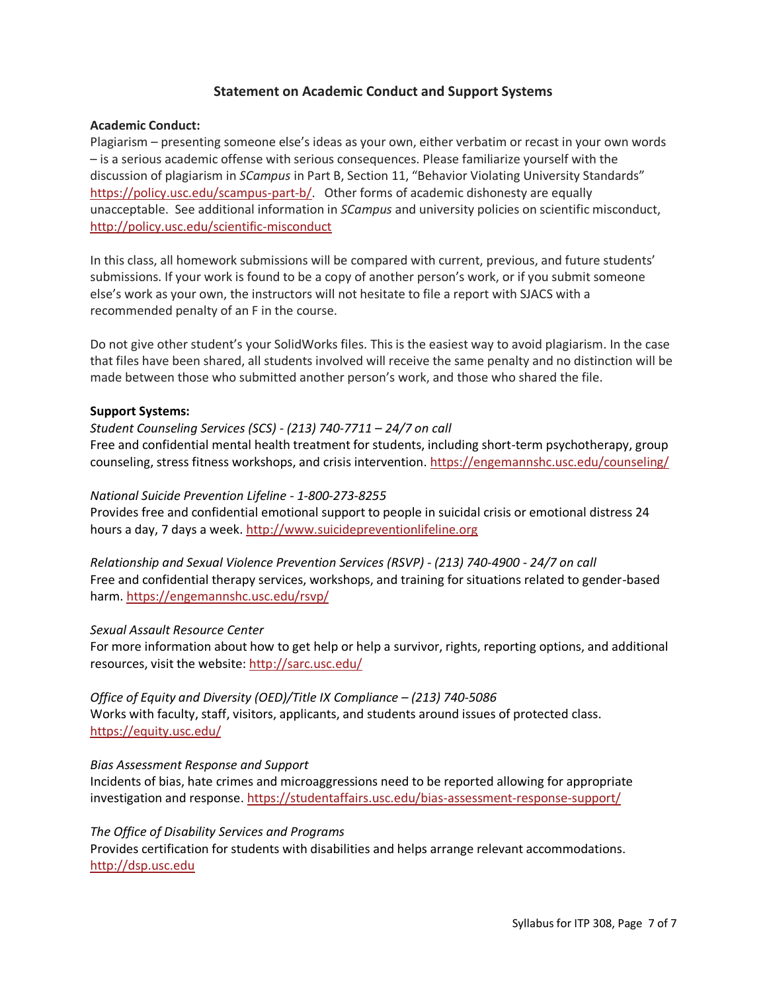# **Statement on Academic Conduct and Support Systems**

#### **Academic Conduct:**

Plagiarism – presenting someone else's ideas as your own, either verbatim or recast in your own words – is a serious academic offense with serious consequences. Please familiarize yourself with the discussion of plagiarism in *SCampus* in Part B, Section 11, "Behavior Violating University Standards" [https://policy.usc.edu/scampus-part-b/.](https://policy.usc.edu/scampus-part-b/) Other forms of academic dishonesty are equally unacceptable. See additional information in *SCampus* and university policies on scientific misconduct, [http://policy.usc.edu/scientific-misconduct](http://policy.usc.edu/scientific-misconduct/)

In this class, all homework submissions will be compared with current, previous, and future students' submissions. If your work is found to be a copy of another person's work, or if you submit someone else's work as your own, the instructors will not hesitate to file a report with SJACS with a recommended penalty of an F in the course.

Do not give other student's your SolidWorks files. This is the easiest way to avoid plagiarism. In the case that files have been shared, all students involved will receive the same penalty and no distinction will be made between those who submitted another person's work, and those who shared the file.

#### **Support Systems:**

*Student Counseling Services (SCS) - (213) 740-7711 – 24/7 on call* Free and confidential mental health treatment for students, including short-term psychotherapy, group counseling, stress fitness workshops, and crisis intervention[. https://engemannshc.usc.edu/counseling/](https://engemannshc.usc.edu/counseling/)

#### *National Suicide Prevention Lifeline - 1-800-273-8255*

Provides free and confidential emotional support to people in suicidal crisis or emotional distress 24 hours a day, 7 days a week[. http://www.suicidepreventionlifeline.org](http://www.suicidepreventionlifeline.org/)

*Relationship and Sexual Violence Prevention Services (RSVP) - (213) 740-4900 - 24/7 on call* Free and confidential therapy services, workshops, and training for situations related to gender-based harm.<https://engemannshc.usc.edu/rsvp/>

## *Sexual Assault Resource Center*

For more information about how to get help or help a survivor, rights, reporting options, and additional resources, visit the website: <http://sarc.usc.edu/>

*Office of Equity and Diversity (OED)/Title IX Compliance – (213) 740-5086* Works with faculty, staff, visitors, applicants, and students around issues of protected class[.](https://equity.usc.edu/) <https://equity.usc.edu/>

## *Bias Assessment Response and Support*

Incidents of bias, hate crimes and microaggressions need to be reported allowing for appropriate investigation and response.<https://studentaffairs.usc.edu/bias-assessment-response-support/>

#### *The Office of Disability Services and Programs*

Provides certification for students with disabilities and helps arrange relevant accommodations. [http://dsp.usc.edu](http://dsp.usc.edu/)